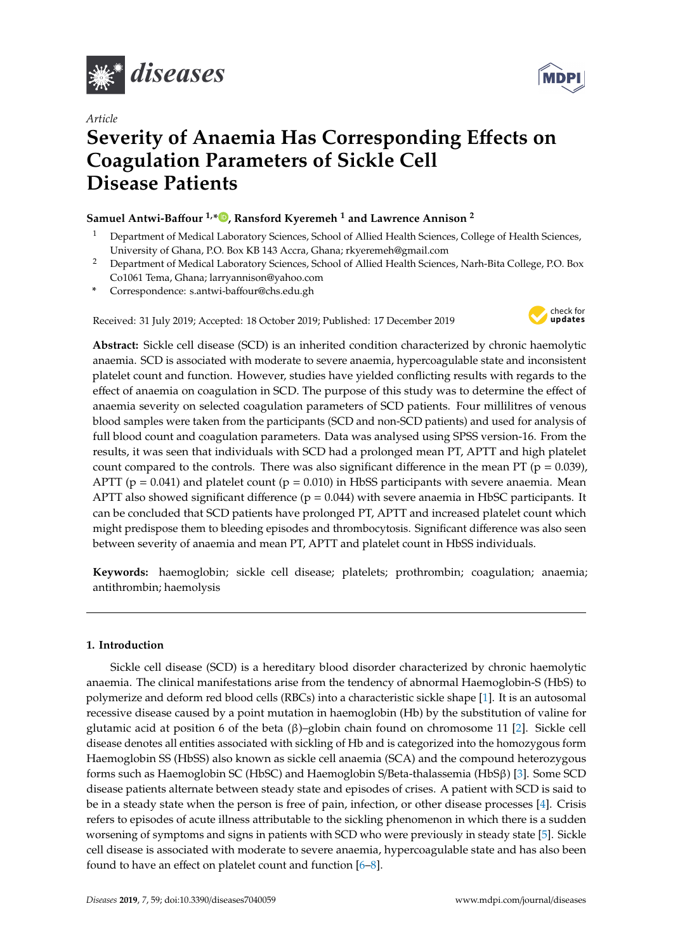

*Article*

# **Severity of Anaemia Has Corresponding E**ff**ects on Coagulation Parameters of Sickle Cell Disease Patients**

# **Samuel Antwi-Ba**ff**our 1,[\\*](https://orcid.org/0000-0002-7653-1129) , Ransford Kyeremeh <sup>1</sup> and Lawrence Annison <sup>2</sup>**

- <sup>1</sup> Department of Medical Laboratory Sciences, School of Allied Health Sciences, College of Health Sciences, University of Ghana, P.O. Box KB 143 Accra, Ghana; rkyeremeh@gmail.com
- <sup>2</sup> Department of Medical Laboratory Sciences, School of Allied Health Sciences, Narh-Bita College, P.O. Box Co1061 Tema, Ghana; larryannison@yahoo.com
- **\*** Correspondence: s.antwi-baffour@chs.edu.gh

Received: 31 July 2019; Accepted: 18 October 2019; Published: 17 December 2019



**Abstract:** Sickle cell disease (SCD) is an inherited condition characterized by chronic haemolytic anaemia. SCD is associated with moderate to severe anaemia, hypercoagulable state and inconsistent platelet count and function. However, studies have yielded conflicting results with regards to the effect of anaemia on coagulation in SCD. The purpose of this study was to determine the effect of anaemia severity on selected coagulation parameters of SCD patients. Four millilitres of venous blood samples were taken from the participants (SCD and non-SCD patients) and used for analysis of full blood count and coagulation parameters. Data was analysed using SPSS version-16. From the results, it was seen that individuals with SCD had a prolonged mean PT, APTT and high platelet count compared to the controls. There was also significant difference in the mean PT ( $p = 0.039$ ), APTT ( $p = 0.041$ ) and platelet count ( $p = 0.010$ ) in HbSS participants with severe anaemia. Mean APTT also showed significant difference ( $p = 0.044$ ) with severe anaemia in HbSC participants. It can be concluded that SCD patients have prolonged PT, APTT and increased platelet count which might predispose them to bleeding episodes and thrombocytosis. Significant difference was also seen between severity of anaemia and mean PT, APTT and platelet count in HbSS individuals.

**Keywords:** haemoglobin; sickle cell disease; platelets; prothrombin; coagulation; anaemia; antithrombin; haemolysis

# **1. Introduction**

Sickle cell disease (SCD) is a hereditary blood disorder characterized by chronic haemolytic anaemia. The clinical manifestations arise from the tendency of abnormal Haemoglobin-S (HbS) to polymerize and deform red blood cells (RBCs) into a characteristic sickle shape [\[1\]](#page-6-0). It is an autosomal recessive disease caused by a point mutation in haemoglobin (Hb) by the substitution of valine for glutamic acid at position 6 of the beta (β)–globin chain found on chromosome 11 [\[2\]](#page-6-1). Sickle cell disease denotes all entities associated with sickling of Hb and is categorized into the homozygous form Haemoglobin SS (HbSS) also known as sickle cell anaemia (SCA) and the compound heterozygous forms such as Haemoglobin SC (HbSC) and Haemoglobin S/Beta-thalassemia (HbSβ) [\[3\]](#page-6-2). Some SCD disease patients alternate between steady state and episodes of crises. A patient with SCD is said to be in a steady state when the person is free of pain, infection, or other disease processes [\[4\]](#page-6-3). Crisis refers to episodes of acute illness attributable to the sickling phenomenon in which there is a sudden worsening of symptoms and signs in patients with SCD who were previously in steady state [\[5\]](#page-6-4). Sickle cell disease is associated with moderate to severe anaemia, hypercoagulable state and has also been found to have an effect on platelet count and function [\[6](#page-6-5)[–8\]](#page-7-0).

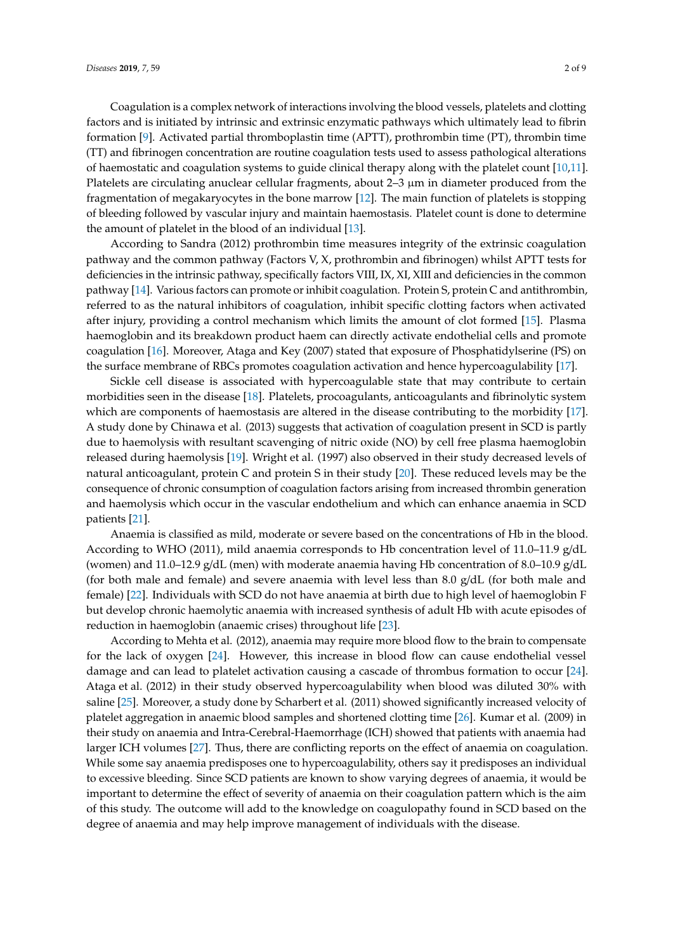Coagulation is a complex network of interactions involving the blood vessels, platelets and clotting factors and is initiated by intrinsic and extrinsic enzymatic pathways which ultimately lead to fibrin formation [\[9\]](#page-7-1). Activated partial thromboplastin time (APTT), prothrombin time (PT), thrombin time (TT) and fibrinogen concentration are routine coagulation tests used to assess pathological alterations of haemostatic and coagulation systems to guide clinical therapy along with the platelet count [\[10](#page-7-2)[,11\]](#page-7-3). Platelets are circulating anuclear cellular fragments, about 2–3  $\mu$ m in diameter produced from the fragmentation of megakaryocytes in the bone marrow [\[12\]](#page-7-4). The main function of platelets is stopping of bleeding followed by vascular injury and maintain haemostasis. Platelet count is done to determine the amount of platelet in the blood of an individual [\[13\]](#page-7-5).

According to Sandra (2012) prothrombin time measures integrity of the extrinsic coagulation pathway and the common pathway (Factors V, X, prothrombin and fibrinogen) whilst APTT tests for deficiencies in the intrinsic pathway, specifically factors VIII, IX, XI, XIII and deficiencies in the common pathway [\[14\]](#page-7-6). Various factors can promote or inhibit coagulation. Protein S, protein C and antithrombin, referred to as the natural inhibitors of coagulation, inhibit specific clotting factors when activated after injury, providing a control mechanism which limits the amount of clot formed [\[15\]](#page-7-7). Plasma haemoglobin and its breakdown product haem can directly activate endothelial cells and promote coagulation [\[16\]](#page-7-8). Moreover, Ataga and Key (2007) stated that exposure of Phosphatidylserine (PS) on the surface membrane of RBCs promotes coagulation activation and hence hypercoagulability [\[17\]](#page-7-9).

Sickle cell disease is associated with hypercoagulable state that may contribute to certain morbidities seen in the disease [\[18\]](#page-7-10). Platelets, procoagulants, anticoagulants and fibrinolytic system which are components of haemostasis are altered in the disease contributing to the morbidity [\[17\]](#page-7-9). A study done by Chinawa et al. (2013) suggests that activation of coagulation present in SCD is partly due to haemolysis with resultant scavenging of nitric oxide (NO) by cell free plasma haemoglobin released during haemolysis [\[19\]](#page-7-11). Wright et al. (1997) also observed in their study decreased levels of natural anticoagulant, protein C and protein S in their study [\[20\]](#page-7-12). These reduced levels may be the consequence of chronic consumption of coagulation factors arising from increased thrombin generation and haemolysis which occur in the vascular endothelium and which can enhance anaemia in SCD patients [\[21\]](#page-7-13).

Anaemia is classified as mild, moderate or severe based on the concentrations of Hb in the blood. According to WHO (2011), mild anaemia corresponds to Hb concentration level of 11.0–11.9 g/dL (women) and 11.0–12.9 g/dL (men) with moderate anaemia having Hb concentration of 8.0–10.9 g/dL (for both male and female) and severe anaemia with level less than 8.0 g/dL (for both male and female) [\[22\]](#page-7-14). Individuals with SCD do not have anaemia at birth due to high level of haemoglobin F but develop chronic haemolytic anaemia with increased synthesis of adult Hb with acute episodes of reduction in haemoglobin (anaemic crises) throughout life [\[23\]](#page-7-15).

According to Mehta et al. (2012), anaemia may require more blood flow to the brain to compensate for the lack of oxygen [\[24\]](#page-7-16). However, this increase in blood flow can cause endothelial vessel damage and can lead to platelet activation causing a cascade of thrombus formation to occur [\[24\]](#page-7-16). Ataga et al. (2012) in their study observed hypercoagulability when blood was diluted 30% with saline [\[25\]](#page-7-17). Moreover, a study done by Scharbert et al. (2011) showed significantly increased velocity of platelet aggregation in anaemic blood samples and shortened clotting time [\[26\]](#page-7-18). Kumar et al. (2009) in their study on anaemia and Intra-Cerebral-Haemorrhage (ICH) showed that patients with anaemia had larger ICH volumes [\[27\]](#page-7-19). Thus, there are conflicting reports on the effect of anaemia on coagulation. While some say anaemia predisposes one to hypercoagulability, others say it predisposes an individual to excessive bleeding. Since SCD patients are known to show varying degrees of anaemia, it would be important to determine the effect of severity of anaemia on their coagulation pattern which is the aim of this study. The outcome will add to the knowledge on coagulopathy found in SCD based on the degree of anaemia and may help improve management of individuals with the disease.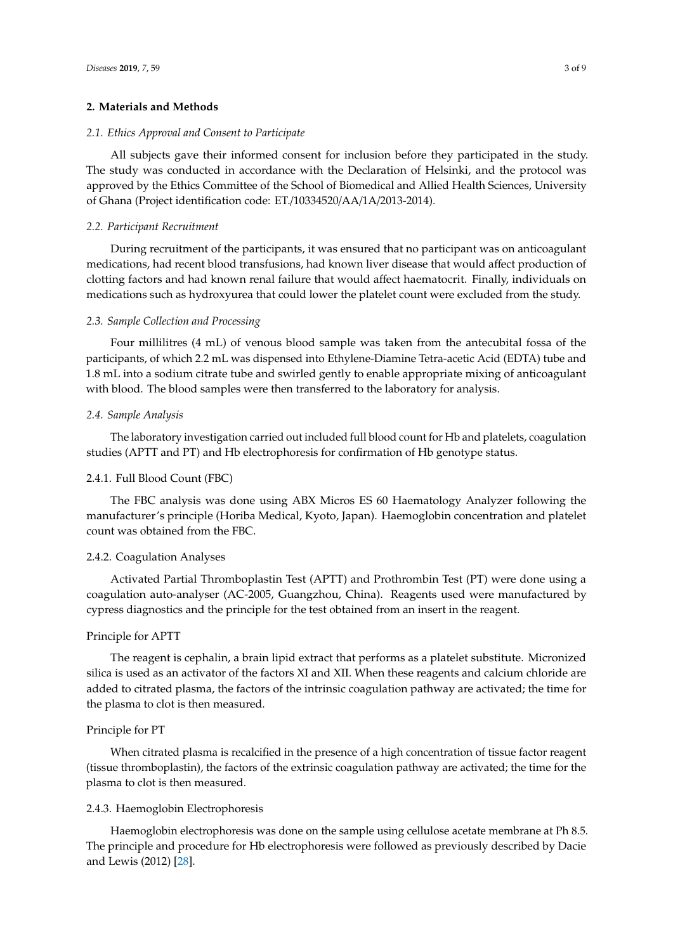# **2. Materials and Methods**

#### *2.1. Ethics Approval and Consent to Participate*

All subjects gave their informed consent for inclusion before they participated in the study. The study was conducted in accordance with the Declaration of Helsinki, and the protocol was approved by the Ethics Committee of the School of Biomedical and Allied Health Sciences, University of Ghana (Project identification code: ET./10334520/AA/1A/2013-2014).

# *2.2. Participant Recruitment*

During recruitment of the participants, it was ensured that no participant was on anticoagulant medications, had recent blood transfusions, had known liver disease that would affect production of clotting factors and had known renal failure that would affect haematocrit. Finally, individuals on medications such as hydroxyurea that could lower the platelet count were excluded from the study.

# *2.3. Sample Collection and Processing*

Four millilitres (4 mL) of venous blood sample was taken from the antecubital fossa of the participants, of which 2.2 mL was dispensed into Ethylene-Diamine Tetra-acetic Acid (EDTA) tube and 1.8 mL into a sodium citrate tube and swirled gently to enable appropriate mixing of anticoagulant with blood. The blood samples were then transferred to the laboratory for analysis.

# *2.4. Sample Analysis*

The laboratory investigation carried out included full blood count for Hb and platelets, coagulation studies (APTT and PT) and Hb electrophoresis for confirmation of Hb genotype status.

# 2.4.1. Full Blood Count (FBC)

The FBC analysis was done using ABX Micros ES 60 Haematology Analyzer following the manufacturer's principle (Horiba Medical, Kyoto, Japan). Haemoglobin concentration and platelet count was obtained from the FBC.

#### 2.4.2. Coagulation Analyses

Activated Partial Thromboplastin Test (APTT) and Prothrombin Test (PT) were done using a coagulation auto-analyser (AC-2005, Guangzhou, China). Reagents used were manufactured by cypress diagnostics and the principle for the test obtained from an insert in the reagent.

# Principle for APTT

The reagent is cephalin, a brain lipid extract that performs as a platelet substitute. Micronized silica is used as an activator of the factors XI and XII. When these reagents and calcium chloride are added to citrated plasma, the factors of the intrinsic coagulation pathway are activated; the time for the plasma to clot is then measured.

#### Principle for PT

When citrated plasma is recalcified in the presence of a high concentration of tissue factor reagent (tissue thromboplastin), the factors of the extrinsic coagulation pathway are activated; the time for the plasma to clot is then measured.

# 2.4.3. Haemoglobin Electrophoresis

Haemoglobin electrophoresis was done on the sample using cellulose acetate membrane at Ph 8.5. The principle and procedure for Hb electrophoresis were followed as previously described by Dacie and Lewis (2012) [\[28\]](#page-7-20).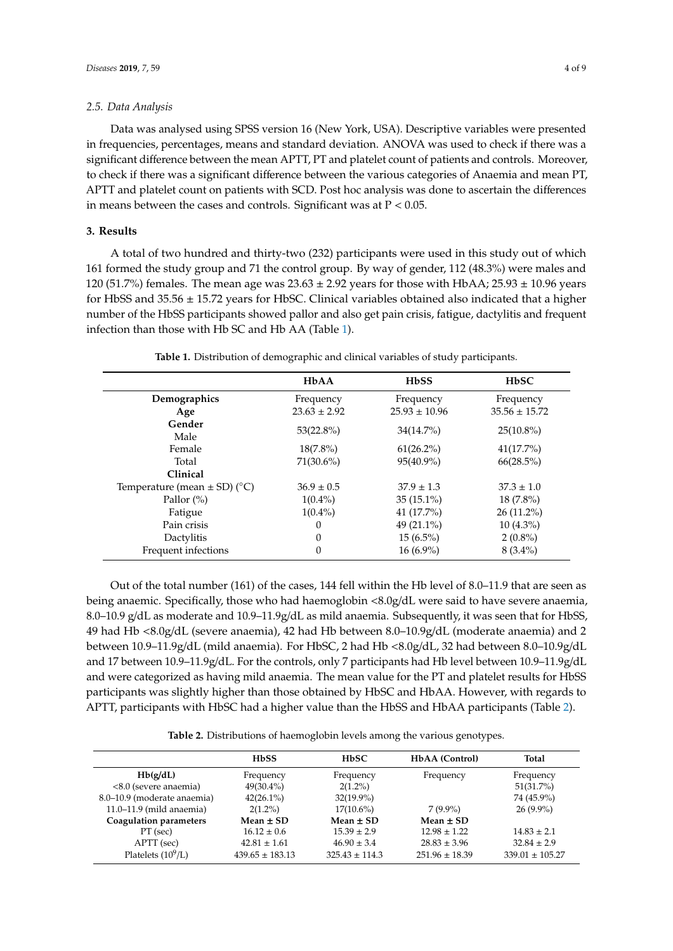Data was analysed using SPSS version 16 (New York, USA). Descriptive variables were presented in frequencies, percentages, means and standard deviation. ANOVA was used to check if there was a significant difference between the mean APTT, PT and platelet count of patients and controls. Moreover, to check if there was a significant difference between the various categories of Anaemia and mean PT, APTT and platelet count on patients with SCD. Post hoc analysis was done to ascertain the differences in means between the cases and controls. Significant was at  $P < 0.05$ .

# **3. Results**

A total of two hundred and thirty-two (232) participants were used in this study out of which 161 formed the study group and 71 the control group. By way of gender, 112 (48.3%) were males and 120 (51.7%) females. The mean age was  $23.63 \pm 2.92$  years for those with HbAA;  $25.93 \pm 10.96$  years for HbSS and  $35.56 \pm 15.72$  years for HbSC. Clinical variables obtained also indicated that a higher number of the HbSS participants showed pallor and also get pain crisis, fatigue, dactylitis and frequent infection than those with Hb SC and Hb AA (Table [1\)](#page-3-0).

<span id="page-3-0"></span>

|                                  | <b>HbAA</b>      | <b>HbSS</b>       | HbSC              |  |
|----------------------------------|------------------|-------------------|-------------------|--|
| Demographics                     | Frequency        | Frequency         | Frequency         |  |
| Age                              | $23.63 \pm 2.92$ | $25.93 \pm 10.96$ | $35.56 \pm 15.72$ |  |
| Gender                           |                  |                   | $25(10.8\%)$      |  |
| Male                             | $53(22.8\%)$     | $34(14.7\%)$      |                   |  |
| Female                           | $18(7.8\%)$      | $61(26.2\%)$      | $41(17.7\%)$      |  |
| Total                            | $71(30.6\%)$     | $95(40.9\%)$      | 66(28.5%)         |  |
| Clinical                         |                  |                   |                   |  |
| Temperature (mean $\pm$ SD) (°C) | $36.9 \pm 0.5$   | $37.9 \pm 1.3$    | $37.3 \pm 1.0$    |  |
| Pallor $(\%)$                    | $1(0.4\%)$       | $35(15.1\%)$      | $18(7.8\%)$       |  |
| Fatigue                          | $1(0.4\%)$       | 41 (17.7%)        | $26(11.2\%)$      |  |
| Pain crisis                      | 0                | 49 (21.1%)        | $10(4.3\%)$       |  |
| Dactylitis                       | $\theta$         | $15(6.5\%)$       | $2(0.8\%)$        |  |
| Frequent infections              | 0                | $16(6.9\%)$       | $8(3.4\%)$        |  |

**Table 1.** Distribution of demographic and clinical variables of study participants.

Out of the total number (161) of the cases, 144 fell within the Hb level of 8.0–11.9 that are seen as being anaemic. Specifically, those who had haemoglobin <8.0g/dL were said to have severe anaemia, 8.0–10.9 g/dL as moderate and 10.9–11.9g/dL as mild anaemia. Subsequently, it was seen that for HbSS, 49 had Hb <8.0g/dL (severe anaemia), 42 had Hb between 8.0–10.9g/dL (moderate anaemia) and 2 between 10.9–11.9g/dL (mild anaemia). For HbSC, 2 had Hb <8.0g/dL, 32 had between 8.0–10.9g/dL and 17 between 10.9–11.9g/dL. For the controls, only 7 participants had Hb level between 10.9–11.9g/dL and were categorized as having mild anaemia. The mean value for the PT and platelet results for HbSS participants was slightly higher than those obtained by HbSC and HbAA. However, with regards to APTT, participants with HbSC had a higher value than the HbSS and HbAA participants (Table [2\)](#page-3-1).

**Table 2.** Distributions of haemoglobin levels among the various genotypes.

<span id="page-3-1"></span>

|                             | <b>HbSS</b>         | <b>HbSC</b>        | <b>HbAA</b> (Control) | Total               |
|-----------------------------|---------------------|--------------------|-----------------------|---------------------|
| Hb(g/dL)                    | Frequency           | Frequency          | Frequency             | Frequency           |
| <8.0 (severe anaemia)       | $49(30.4\%)$        | $2(1.2\%)$         |                       | $51(31.7\%)$        |
| 8.0–10.9 (moderate anaemia) | $42(26.1\%)$        | $32(19.9\%)$       |                       | 74 (45.9%)          |
| $11.0-11.9$ (mild anaemia)  | $2(1.2\%)$          | $17(10.6\%)$       | $7(9.9\%)$            | $26(9.9\%)$         |
| Coagulation parameters      | Mean $\pm$ SD       | Mean $+$ SD        | Mean $\pm$ SD         |                     |
| PT (sec)                    | $16.12 \pm 0.6$     | $15.39 \pm 2.9$    | $12.98 \pm 1.22$      | $14.83 \pm 2.1$     |
| APTT (sec)                  | $42.81 \pm 1.61$    | $46.90 \pm 3.4$    | $28.83 \pm 3.96$      | $32.84 \pm 2.9$     |
| Platelets $(10^9/L)$        | $439.65 \pm 183.13$ | $325.43 \pm 114.3$ | $251.96 \pm 18.39$    | $339.01 \pm 105.27$ |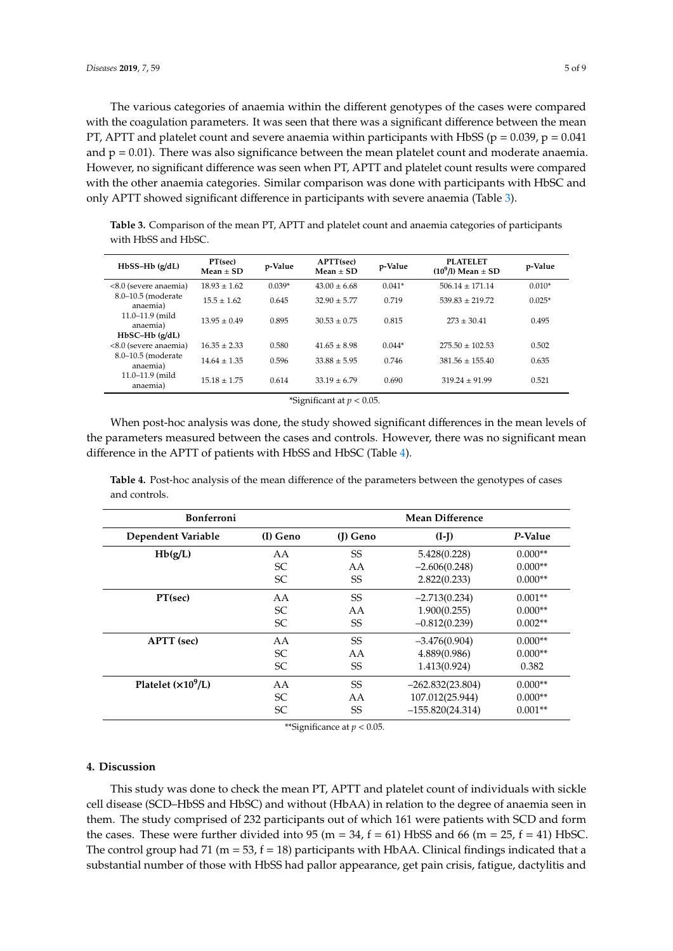The various categories of anaemia within the different genotypes of the cases were compared with the coagulation parameters. It was seen that there was a significant difference between the mean PT, APTT and platelet count and severe anaemia within participants with HbSS ( $p = 0.039$ ,  $p = 0.041$ and  $p = 0.01$ ). There was also significance between the mean platelet count and moderate anaemia. However, no significant difference was seen when PT, APTT and platelet count results were compared with the other anaemia categories. Similar comparison was done with participants with HbSC and only APTT showed significant difference in participants with severe anaemia (Table [3\)](#page-4-0).

**HbSS–Hb (g**/**dL) PT(sec) Mean** <sup>±</sup> **SD p-Value APTT(sec) Mean** <sup>±</sup> **SD p-Value PLATELET (10<sup>9</sup>** /**l) Mean** <sup>±</sup> **SD p-Value**  $\leq 8.0$  (severe anaemia)  $18.93 \pm 1.62$   $0.039^*$   $43.00 \pm 6.68$   $0.041^*$   $506.14 \pm 171.14$   $0.010^*$ 8.0–10.5 (moderate  $(0.5)(1000)$   $(15.5 \pm 1.62)$   $(0.645)$   $32.90 \pm 5.77$   $(0.719)$   $539.83 \pm 219.72$   $(0.025*)$ <br>anaemia) 11.0–11.9 (mild anaemia) 13.95 <sup>±</sup> 0.49 0.895 30.53 <sup>±</sup> 0.75 0.815 273 <sup>±</sup> 30.41 0.495 **HbSC–Hb (g**/**dL)**  $<8.0$  (severe anaemia)  $16.35 \pm 2.33$  0.580  $41.65 \pm 8.98$  0.044\* 275.50  $\pm$  102.53 0.502 8.0–10.5 (moderate  $\frac{(0.5 \text{ m})}{(0.746 \text{ m})}$  14.64 ± 1.35  $\frac{(0.596)}{33.88 \pm 5.95}$  0.746 381.56 ± 155.40 0.635 11.0–11.9 (mild  $\frac{0.611 \times 10^{11}}{0.511 \times 10^{11}}$  15.18 ± 1.75 0.614 33.19 ± 6.79 0.690 319.24 ± 91.99 0.521 \*Significant at *p* < 0.05.

<span id="page-4-0"></span>**Table 3.** Comparison of the mean PT, APTT and platelet count and anaemia categories of participants with HbSS and HbSC.

When post-hoc analysis was done, the study showed significant differences in the mean levels of the parameters measured between the cases and controls. However, there was no significant mean difference in the APTT of patients with HbSS and HbSC (Table [4\)](#page-4-1).

<span id="page-4-1"></span>**Table 4.** Post-hoc analysis of the mean difference of the parameters between the genotypes of cases and controls.

| <b>Bonferroni</b>    |           | <b>Mean Difference</b> |                    |           |  |
|----------------------|-----------|------------------------|--------------------|-----------|--|
| Dependent Variable   | (I) Geno  | (J) Geno               | $(I-I)$            | P-Value   |  |
| Hb(g/L)              | AA        | SS                     | 5.428(0.228)       | $0.000**$ |  |
|                      | <b>SC</b> | AA                     | $-2.606(0.248)$    | $0.000**$ |  |
|                      | <b>SC</b> | SS                     | 2.822(0.233)       | $0.000**$ |  |
| PT(sec)              | AA        | SS                     | $-2.713(0.234)$    | $0.001**$ |  |
|                      | <b>SC</b> | AA                     | 1.900(0.255)       | $0.000**$ |  |
|                      | <b>SC</b> | SS                     | $-0.812(0.239)$    | $0.002**$ |  |
| <b>APTT</b> (sec)    | AA        | SS                     | $-3.476(0.904)$    | $0.000**$ |  |
|                      | <b>SC</b> | AA                     | 4.889(0.986)       | $0.000**$ |  |
|                      | <b>SC</b> | SS                     | 1.413(0.924)       | 0.382     |  |
| Platelet $(x10^9/L)$ | AA        | SS                     | $-262.832(23.804)$ | $0.000**$ |  |
|                      | <b>SC</b> | AA                     | 107.012(25.944)    | $0.000**$ |  |
|                      | <b>SC</b> | SS                     | $-155.820(24.314)$ | $0.001**$ |  |

\*\*Significance at *p* < 0.05.

#### **4. Discussion**

This study was done to check the mean PT, APTT and platelet count of individuals with sickle cell disease (SCD–HbSS and HbSC) and without (HbAA) in relation to the degree of anaemia seen in them. The study comprised of 232 participants out of which 161 were patients with SCD and form the cases. These were further divided into 95 (m = 34, f = 61) HbSS and 66 (m = 25, f = 41) HbSC. The control group had 71 ( $m = 53$ ,  $f = 18$ ) participants with HbAA. Clinical findings indicated that a substantial number of those with HbSS had pallor appearance, get pain crisis, fatigue, dactylitis and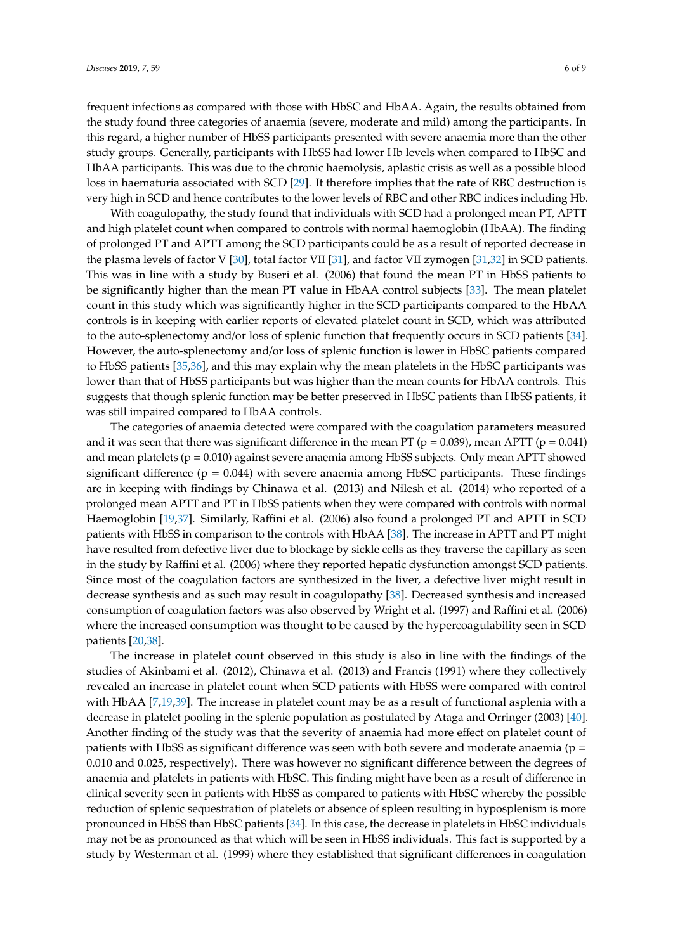frequent infections as compared with those with HbSC and HbAA. Again, the results obtained from the study found three categories of anaemia (severe, moderate and mild) among the participants. In this regard, a higher number of HbSS participants presented with severe anaemia more than the other study groups. Generally, participants with HbSS had lower Hb levels when compared to HbSC and HbAA participants. This was due to the chronic haemolysis, aplastic crisis as well as a possible blood loss in haematuria associated with SCD [\[29\]](#page-7-21). It therefore implies that the rate of RBC destruction is very high in SCD and hence contributes to the lower levels of RBC and other RBC indices including Hb.

With coagulopathy, the study found that individuals with SCD had a prolonged mean PT, APTT and high platelet count when compared to controls with normal haemoglobin (HbAA). The finding of prolonged PT and APTT among the SCD participants could be as a result of reported decrease in the plasma levels of factor V [\[30\]](#page-7-22), total factor VII [\[31\]](#page-7-23), and factor VII zymogen [\[31](#page-7-23)[,32\]](#page-8-0) in SCD patients. This was in line with a study by Buseri et al. (2006) that found the mean PT in HbSS patients to be significantly higher than the mean PT value in HbAA control subjects [\[33\]](#page-8-1). The mean platelet count in this study which was significantly higher in the SCD participants compared to the HbAA controls is in keeping with earlier reports of elevated platelet count in SCD, which was attributed to the auto-splenectomy and/or loss of splenic function that frequently occurs in SCD patients [\[34\]](#page-8-2). However, the auto-splenectomy and/or loss of splenic function is lower in HbSC patients compared to HbSS patients [\[35,](#page-8-3)[36\]](#page-8-4), and this may explain why the mean platelets in the HbSC participants was lower than that of HbSS participants but was higher than the mean counts for HbAA controls. This suggests that though splenic function may be better preserved in HbSC patients than HbSS patients, it was still impaired compared to HbAA controls.

The categories of anaemia detected were compared with the coagulation parameters measured and it was seen that there was significant difference in the mean PT ( $p = 0.039$ ), mean APTT ( $p = 0.041$ ) and mean platelets (p = 0.010) against severe anaemia among HbSS subjects. Only mean APTT showed significant difference ( $p = 0.044$ ) with severe anaemia among HbSC participants. These findings are in keeping with findings by Chinawa et al. (2013) and Nilesh et al. (2014) who reported of a prolonged mean APTT and PT in HbSS patients when they were compared with controls with normal Haemoglobin [\[19](#page-7-11)[,37\]](#page-8-5). Similarly, Raffini et al. (2006) also found a prolonged PT and APTT in SCD patients with HbSS in comparison to the controls with HbAA [\[38\]](#page-8-6). The increase in APTT and PT might have resulted from defective liver due to blockage by sickle cells as they traverse the capillary as seen in the study by Raffini et al. (2006) where they reported hepatic dysfunction amongst SCD patients. Since most of the coagulation factors are synthesized in the liver, a defective liver might result in decrease synthesis and as such may result in coagulopathy [\[38\]](#page-8-6). Decreased synthesis and increased consumption of coagulation factors was also observed by Wright et al. (1997) and Raffini et al. (2006) where the increased consumption was thought to be caused by the hypercoagulability seen in SCD patients [\[20,](#page-7-12)[38\]](#page-8-6).

The increase in platelet count observed in this study is also in line with the findings of the studies of Akinbami et al. (2012), Chinawa et al. (2013) and Francis (1991) where they collectively revealed an increase in platelet count when SCD patients with HbSS were compared with control with HbAA [\[7,](#page-6-6)[19,](#page-7-11)[39\]](#page-8-7). The increase in platelet count may be as a result of functional asplenia with a decrease in platelet pooling in the splenic population as postulated by Ataga and Orringer (2003) [\[40\]](#page-8-8). Another finding of the study was that the severity of anaemia had more effect on platelet count of patients with HbSS as significant difference was seen with both severe and moderate anaemia ( $p =$ 0.010 and 0.025, respectively). There was however no significant difference between the degrees of anaemia and platelets in patients with HbSC. This finding might have been as a result of difference in clinical severity seen in patients with HbSS as compared to patients with HbSC whereby the possible reduction of splenic sequestration of platelets or absence of spleen resulting in hyposplenism is more pronounced in HbSS than HbSC patients [\[34\]](#page-8-2). In this case, the decrease in platelets in HbSC individuals may not be as pronounced as that which will be seen in HbSS individuals. This fact is supported by a study by Westerman et al. (1999) where they established that significant differences in coagulation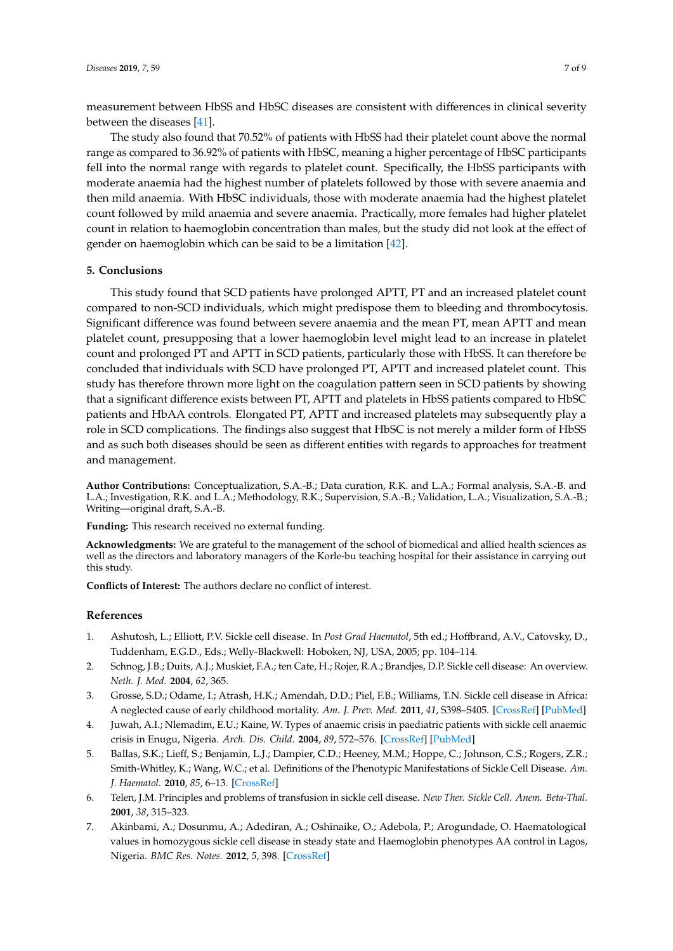measurement between HbSS and HbSC diseases are consistent with differences in clinical severity between the diseases [\[41\]](#page-8-9).

The study also found that 70.52% of patients with HbSS had their platelet count above the normal range as compared to 36.92% of patients with HbSC, meaning a higher percentage of HbSC participants fell into the normal range with regards to platelet count. Specifically, the HbSS participants with moderate anaemia had the highest number of platelets followed by those with severe anaemia and then mild anaemia. With HbSC individuals, those with moderate anaemia had the highest platelet count followed by mild anaemia and severe anaemia. Practically, more females had higher platelet count in relation to haemoglobin concentration than males, but the study did not look at the effect of gender on haemoglobin which can be said to be a limitation [\[42\]](#page-8-10).

# **5. Conclusions**

This study found that SCD patients have prolonged APTT, PT and an increased platelet count compared to non-SCD individuals, which might predispose them to bleeding and thrombocytosis. Significant difference was found between severe anaemia and the mean PT, mean APTT and mean platelet count, presupposing that a lower haemoglobin level might lead to an increase in platelet count and prolonged PT and APTT in SCD patients, particularly those with HbSS. It can therefore be concluded that individuals with SCD have prolonged PT, APTT and increased platelet count. This study has therefore thrown more light on the coagulation pattern seen in SCD patients by showing that a significant difference exists between PT, APTT and platelets in HbSS patients compared to HbSC patients and HbAA controls. Elongated PT, APTT and increased platelets may subsequently play a role in SCD complications. The findings also suggest that HbSC is not merely a milder form of HbSS and as such both diseases should be seen as different entities with regards to approaches for treatment and management.

**Author Contributions:** Conceptualization, S.A.-B.; Data curation, R.K. and L.A.; Formal analysis, S.A.-B. and L.A.; Investigation, R.K. and L.A.; Methodology, R.K.; Supervision, S.A.-B.; Validation, L.A.; Visualization, S.A.-B.; Writing—original draft, S.A.-B.

**Funding:** This research received no external funding.

**Acknowledgments:** We are grateful to the management of the school of biomedical and allied health sciences as well as the directors and laboratory managers of the Korle-bu teaching hospital for their assistance in carrying out this study.

**Conflicts of Interest:** The authors declare no conflict of interest.

#### **References**

- <span id="page-6-0"></span>1. Ashutosh, L.; Elliott, P.V. Sickle cell disease. In *Post Grad Haematol*, 5th ed.; Hoffbrand, A.V., Catovsky, D., Tuddenham, E.G.D., Eds.; Welly-Blackwell: Hoboken, NJ, USA, 2005; pp. 104–114.
- <span id="page-6-1"></span>2. Schnog, J.B.; Duits, A.J.; Muskiet, F.A.; ten Cate, H.; Rojer, R.A.; Brandjes, D.P. Sickle cell disease: An overview. *Neth. J. Med.* **2004**, *62*, 365.
- <span id="page-6-2"></span>3. Grosse, S.D.; Odame, I.; Atrash, H.K.; Amendah, D.D.; Piel, F.B.; Williams, T.N. Sickle cell disease in Africa: A neglected cause of early childhood mortality. *Am. J. Prev. Med.* **2011**, *41*, S398–S405. [\[CrossRef\]](http://dx.doi.org/10.1016/j.amepre.2011.09.013) [\[PubMed\]](http://www.ncbi.nlm.nih.gov/pubmed/22099364)
- <span id="page-6-3"></span>4. Juwah, A.I.; Nlemadim, E.U.; Kaine, W. Types of anaemic crisis in paediatric patients with sickle cell anaemic crisis in Enugu, Nigeria. *Arch. Dis. Child.* **2004**, *89*, 572–576. [\[CrossRef\]](http://dx.doi.org/10.1136/adc.2003.037374) [\[PubMed\]](http://www.ncbi.nlm.nih.gov/pubmed/15155406)
- <span id="page-6-4"></span>5. Ballas, S.K.; Lieff, S.; Benjamin, L.J.; Dampier, C.D.; Heeney, M.M.; Hoppe, C.; Johnson, C.S.; Rogers, Z.R.; Smith-Whitley, K.; Wang, W.C.; et al. Definitions of the Phenotypic Manifestations of Sickle Cell Disease. *Am. J. Haematol.* **2010**, *85*, 6–13. [\[CrossRef\]](http://dx.doi.org/10.1002/ajh.21550)
- <span id="page-6-5"></span>6. Telen, J.M. Principles and problems of transfusion in sickle cell disease. *New Ther. Sickle Cell. Anem. Beta-Thal.* **2001**, *38*, 315–323.
- <span id="page-6-6"></span>7. Akinbami, A.; Dosunmu, A.; Adediran, A.; Oshinaike, O.; Adebola, P.; Arogundade, O. Haematological values in homozygous sickle cell disease in steady state and Haemoglobin phenotypes AA control in Lagos, Nigeria. *BMC Res. Notes.* **2012**, *5*, 398. [\[CrossRef\]](http://dx.doi.org/10.1186/1756-0500-5-396)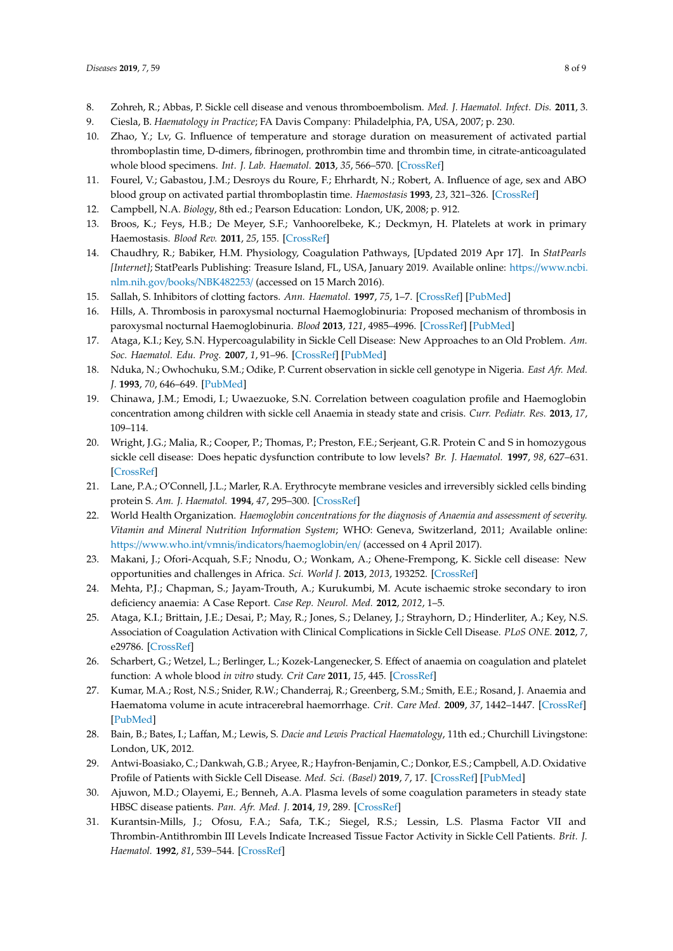- <span id="page-7-0"></span>8. Zohreh, R.; Abbas, P. Sickle cell disease and venous thromboembolism. *Med. J. Haematol. Infect. Dis.* **2011**, 3.
- <span id="page-7-1"></span>9. Ciesla, B. *Haematology in Practice*; FA Davis Company: Philadelphia, PA, USA, 2007; p. 230.
- <span id="page-7-2"></span>10. Zhao, Y.; Lv, G. Influence of temperature and storage duration on measurement of activated partial thromboplastin time, D-dimers, fibrinogen, prothrombin time and thrombin time, in citrate-anticoagulated whole blood specimens. *Int. J. Lab. Haematol.* **2013**, *35*, 566–570. [\[CrossRef\]](http://dx.doi.org/10.1111/ijlh.12113)
- <span id="page-7-3"></span>11. Fourel, V.; Gabastou, J.M.; Desroys du Roure, F.; Ehrhardt, N.; Robert, A. Influence of age, sex and ABO blood group on activated partial thromboplastin time. *Haemostasis* **1993**, *23*, 321–326. [\[CrossRef\]](http://dx.doi.org/10.1159/000216895)
- <span id="page-7-5"></span><span id="page-7-4"></span>12. Campbell, N.A. *Biology*, 8th ed.; Pearson Education: London, UK, 2008; p. 912.
- 13. Broos, K.; Feys, H.B.; De Meyer, S.F.; Vanhoorelbeke, K.; Deckmyn, H. Platelets at work in primary Haemostasis. *Blood Rev.* **2011**, *25*, 155. [\[CrossRef\]](http://dx.doi.org/10.1016/j.blre.2011.03.002)
- <span id="page-7-6"></span>14. Chaudhry, R.; Babiker, H.M. Physiology, Coagulation Pathways, [Updated 2019 Apr 17]. In *StatPearls [Internet]*; StatPearls Publishing: Treasure Island, FL, USA, January 2019. Available online: https://[www.ncbi.](https://www.ncbi.nlm.nih.gov/books/NBK482253/) [nlm.nih.gov](https://www.ncbi.nlm.nih.gov/books/NBK482253/)/books/NBK482253/ (accessed on 15 March 2016).
- <span id="page-7-7"></span>15. Sallah, S. Inhibitors of clotting factors. *Ann. Haematol.* **1997**, *75*, 1–7. [\[CrossRef\]](http://dx.doi.org/10.1007/s002770050305) [\[PubMed\]](http://www.ncbi.nlm.nih.gov/pubmed/9322677)
- <span id="page-7-8"></span>16. Hills, A. Thrombosis in paroxysmal nocturnal Haemoglobinuria: Proposed mechanism of thrombosis in paroxysmal nocturnal Haemoglobinuria. *Blood* **2013**, *121*, 4985–4996. [\[CrossRef\]](http://dx.doi.org/10.1182/blood-2012-09-311381) [\[PubMed\]](http://www.ncbi.nlm.nih.gov/pubmed/23610373)
- <span id="page-7-9"></span>17. Ataga, K.I.; Key, S.N. Hypercoagulability in Sickle Cell Disease: New Approaches to an Old Problem. *Am. Soc. Haematol. Edu. Prog.* **2007**, *1*, 91–96. [\[CrossRef\]](http://dx.doi.org/10.1182/asheducation-2007.1.91) [\[PubMed\]](http://www.ncbi.nlm.nih.gov/pubmed/18024615)
- <span id="page-7-10"></span>18. Nduka, N.; Owhochuku, S.M.; Odike, P. Current observation in sickle cell genotype in Nigeria. *East Afr. Med. J.* **1993**, *70*, 646–649. [\[PubMed\]](http://www.ncbi.nlm.nih.gov/pubmed/7514527)
- <span id="page-7-11"></span>19. Chinawa, J.M.; Emodi, I.; Uwaezuoke, S.N. Correlation between coagulation profile and Haemoglobin concentration among children with sickle cell Anaemia in steady state and crisis. *Curr. Pediatr. Res.* **2013**, *17*, 109–114.
- <span id="page-7-12"></span>20. Wright, J.G.; Malia, R.; Cooper, P.; Thomas, P.; Preston, F.E.; Serjeant, G.R. Protein C and S in homozygous sickle cell disease: Does hepatic dysfunction contribute to low levels? *Br. J. Haematol.* **1997**, *98*, 627–631. [\[CrossRef\]](http://dx.doi.org/10.1046/j.1365-2141.1997.2663083.x)
- <span id="page-7-13"></span>21. Lane, P.A.; O'Connell, J.L.; Marler, R.A. Erythrocyte membrane vesicles and irreversibly sickled cells binding protein S. *Am. J. Haematol.* **1994**, *47*, 295–300. [\[CrossRef\]](http://dx.doi.org/10.1002/ajh.2830470409)
- <span id="page-7-14"></span>22. World Health Organization. *Haemoglobin concentrations for the diagnosis of Anaemia and assessment of severity. Vitamin and Mineral Nutrition Information System*; WHO: Geneva, Switzerland, 2011; Available online: https://[www.who.int](https://www.who.int/vmnis/indicators/haemoglobin/en/)/vmnis/indicators/haemoglobin/en/ (accessed on 4 April 2017).
- <span id="page-7-15"></span>23. Makani, J.; Ofori-Acquah, S.F.; Nnodu, O.; Wonkam, A.; Ohene-Frempong, K. Sickle cell disease: New opportunities and challenges in Africa. *Sci. World J.* **2013**, *2013*, 193252. [\[CrossRef\]](http://dx.doi.org/10.1155/2013/193252)
- <span id="page-7-16"></span>24. Mehta, P.J.; Chapman, S.; Jayam-Trouth, A.; Kurukumbi, M. Acute ischaemic stroke secondary to iron deficiency anaemia: A Case Report. *Case Rep. Neurol. Med.* **2012**, *2012*, 1–5.
- <span id="page-7-17"></span>25. Ataga, K.I.; Brittain, J.E.; Desai, P.; May, R.; Jones, S.; Delaney, J.; Strayhorn, D.; Hinderliter, A.; Key, N.S. Association of Coagulation Activation with Clinical Complications in Sickle Cell Disease. *PLoS ONE.* **2012**, *7*, e29786. [\[CrossRef\]](http://dx.doi.org/10.1371/journal.pone.0029786)
- <span id="page-7-18"></span>26. Scharbert, G.; Wetzel, L.; Berlinger, L.; Kozek-Langenecker, S. Effect of anaemia on coagulation and platelet function: A whole blood *in vitro* study. *Crit Care* **2011**, *15*, 445. [\[CrossRef\]](http://dx.doi.org/10.1186/cc9865)
- <span id="page-7-19"></span>27. Kumar, M.A.; Rost, N.S.; Snider, R.W.; Chanderraj, R.; Greenberg, S.M.; Smith, E.E.; Rosand, J. Anaemia and Haematoma volume in acute intracerebral haemorrhage. *Crit. Care Med.* **2009**, *37*, 1442–1447. [\[CrossRef\]](http://dx.doi.org/10.1097/CCM.0b013e31819ced3a) [\[PubMed\]](http://www.ncbi.nlm.nih.gov/pubmed/19242340)
- <span id="page-7-20"></span>28. Bain, B.; Bates, I.; Laffan, M.; Lewis, S. *Dacie and Lewis Practical Haematology*, 11th ed.; Churchill Livingstone: London, UK, 2012.
- <span id="page-7-21"></span>29. Antwi-Boasiako, C.; Dankwah, G.B.; Aryee, R.; Hayfron-Benjamin, C.; Donkor, E.S.; Campbell, A.D. Oxidative Profile of Patients with Sickle Cell Disease. *Med. Sci. (Basel)* **2019**, *7*, 17. [\[CrossRef\]](http://dx.doi.org/10.3390/medsci7020017) [\[PubMed\]](http://www.ncbi.nlm.nih.gov/pubmed/30691006)
- <span id="page-7-22"></span>30. Ajuwon, M.D.; Olayemi, E.; Benneh, A.A. Plasma levels of some coagulation parameters in steady state HBSC disease patients. *Pan. Afr. Med. J.* **2014**, *19*, 289. [\[CrossRef\]](http://dx.doi.org/10.11604/pamj.2014.19.289.4451)
- <span id="page-7-23"></span>31. Kurantsin-Mills, J.; Ofosu, F.A.; Safa, T.K.; Siegel, R.S.; Lessin, L.S. Plasma Factor VII and Thrombin-Antithrombin III Levels Indicate Increased Tissue Factor Activity in Sickle Cell Patients. *Brit. J. Haematol.* **1992**, *81*, 539–544. [\[CrossRef\]](http://dx.doi.org/10.1111/j.1365-2141.1992.tb02989.x)